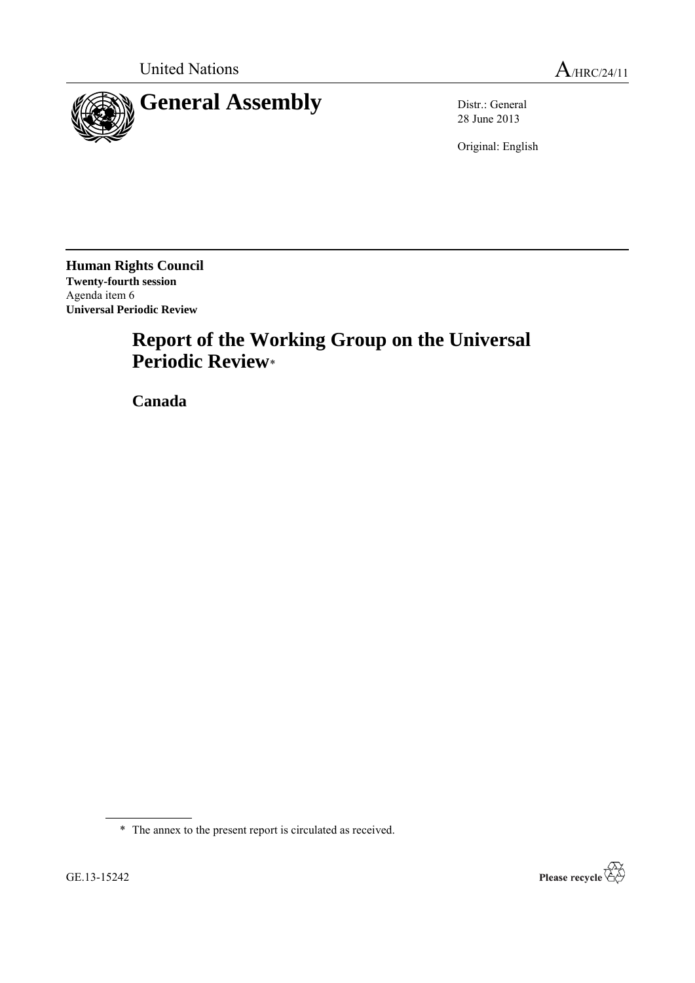

28 June 2013

Original: English

**Human Rights Council Twenty-fourth session** Agenda item 6 **Universal Periodic Review**

# **Report of the Working Group on the Universal Periodic Review**\*

**Canada**

\* The annex to the present report is circulated as received.

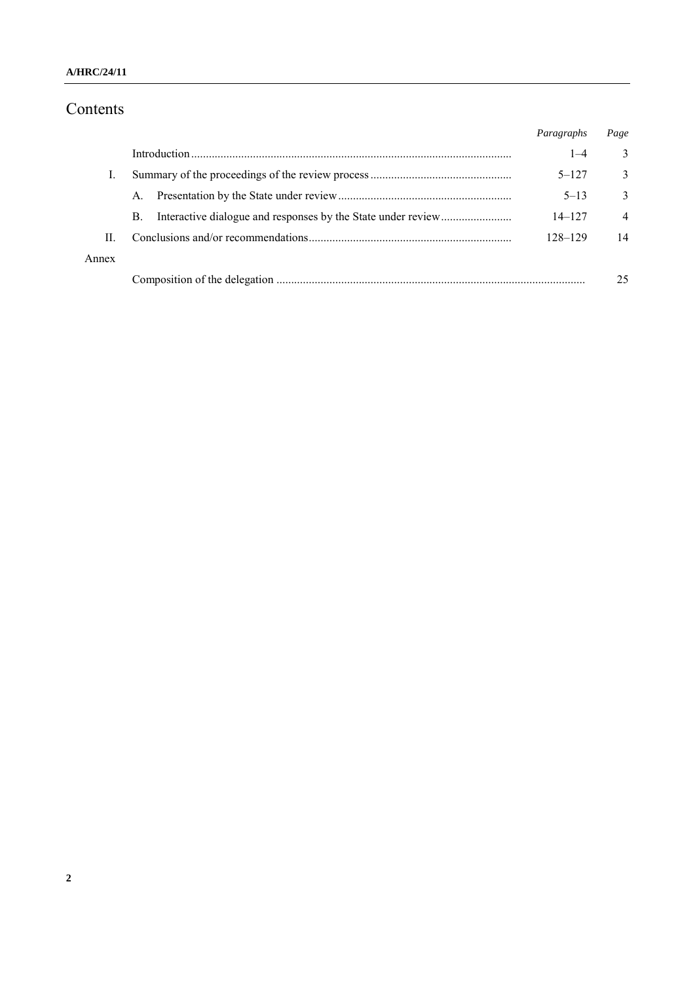### **A/HRC/24/11**

# Contents

|       |    | Paragraphs | Page           |
|-------|----|------------|----------------|
|       |    | $1 - 4$    | 3              |
|       |    | $5 - 127$  | $\mathbf{3}$   |
|       | A. | $5 - 13$   | 3              |
|       | B. | $14 - 127$ | $\overline{4}$ |
| П     |    | 128-129    | 14             |
| Annex |    |            |                |
|       |    |            | 25             |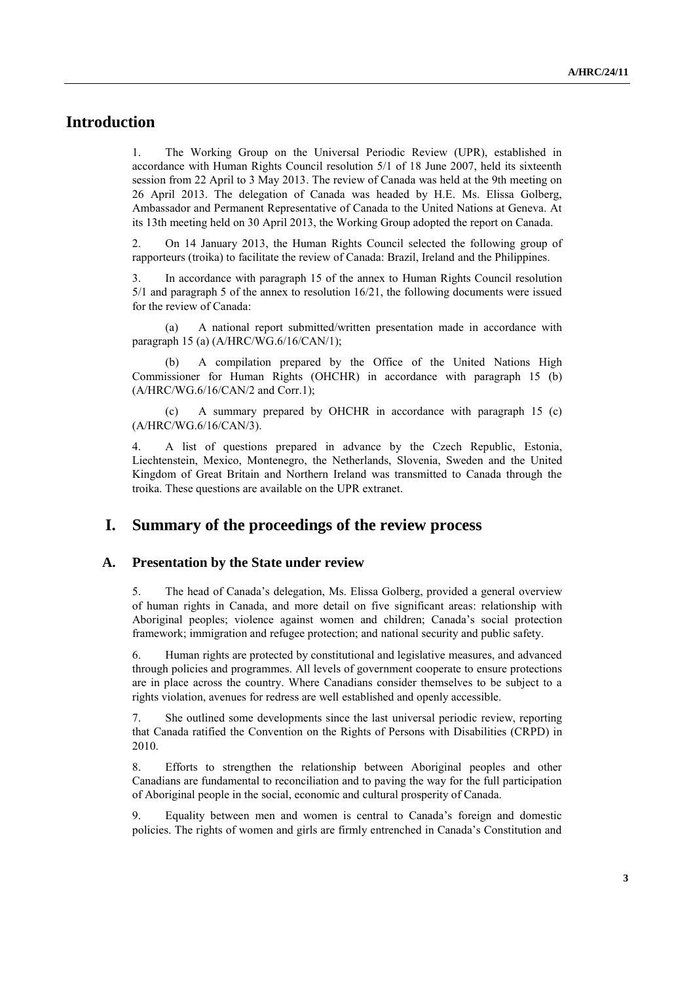# **Introduction**

1. The Working Group on the Universal Periodic Review (UPR), established in accordance with Human Rights Council resolution 5/1 of 18 June 2007, held its sixteenth session from 22 April to 3 May 2013. The review of Canada was held at the 9th meeting on 26 April 2013. The delegation of Canada was headed by H.E. Ms. Elissa Golberg, Ambassador and Permanent Representative of Canada to the United Nations at Geneva. At its 13th meeting held on 30 April 2013, the Working Group adopted the report on Canada.

2. On 14 January 2013, the Human Rights Council selected the following group of rapporteurs (troika) to facilitate the review of Canada: Brazil, Ireland and the Philippines.

3. In accordance with paragraph 15 of the annex to Human Rights Council resolution 5/1 and paragraph 5 of the annex to resolution 16/21, the following documents were issued for the review of Canada:

(a) A national report submitted/written presentation made in accordance with paragraph 15 (a) (A/HRC/WG.6/16/CAN/1);

A compilation prepared by the Office of the United Nations High Commissioner for Human Rights (OHCHR) in accordance with paragraph 15 (b) (A/HRC/WG.6/16/CAN/2 and Corr.1);

(c) A summary prepared by OHCHR in accordance with paragraph 15 (c) (A/HRC/WG.6/16/CAN/3).

4. A list of questions prepared in advance by the Czech Republic, Estonia, Liechtenstein, Mexico, Montenegro, the Netherlands, Slovenia, Sweden and the United Kingdom of Great Britain and Northern Ireland was transmitted to Canada through the troika. These questions are available on the UPR extranet.

# **I. Summary of the proceedings of the review process**

#### **A. Presentation by the State under review**

5. The head of Canada's delegation, Ms. Elissa Golberg, provided a general overview of human rights in Canada, and more detail on five significant areas: relationship with Aboriginal peoples; violence against women and children; Canada's social protection framework; immigration and refugee protection; and national security and public safety.

6. Human rights are protected by constitutional and legislative measures, and advanced through policies and programmes. All levels of government cooperate to ensure protections are in place across the country. Where Canadians consider themselves to be subject to a rights violation, avenues for redress are well established and openly accessible.

7. She outlined some developments since the last universal periodic review, reporting that Canada ratified the Convention on the Rights of Persons with Disabilities (CRPD) in 2010.

8. Efforts to strengthen the relationship between Aboriginal peoples and other Canadians are fundamental to reconciliation and to paving the way for the full participation of Aboriginal people in the social, economic and cultural prosperity of Canada.

9. Equality between men and women is central to Canada's foreign and domestic policies. The rights of women and girls are firmly entrenched in Canada's Constitution and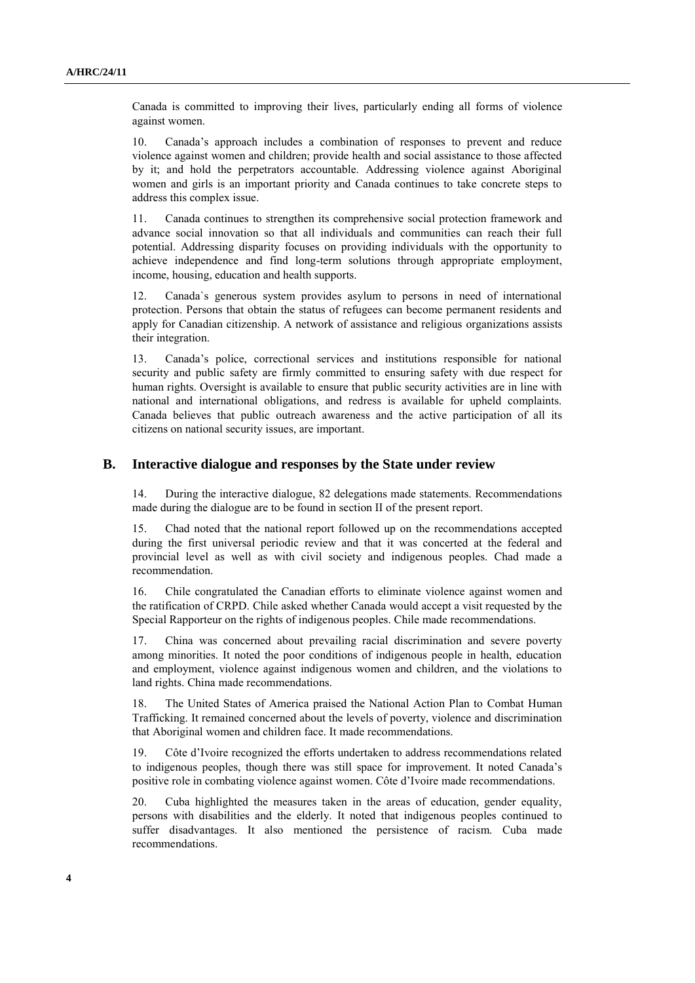Canada is committed to improving their lives, particularly ending all forms of violence against women.

10. Canada's approach includes a combination of responses to prevent and reduce violence against women and children; provide health and social assistance to those affected by it; and hold the perpetrators accountable. Addressing violence against Aboriginal women and girls is an important priority and Canada continues to take concrete steps to address this complex issue.

11. Canada continues to strengthen its comprehensive social protection framework and advance social innovation so that all individuals and communities can reach their full potential. Addressing disparity focuses on providing individuals with the opportunity to achieve independence and find long-term solutions through appropriate employment, income, housing, education and health supports.

12. Canada`s generous system provides asylum to persons in need of international protection. Persons that obtain the status of refugees can become permanent residents and apply for Canadian citizenship. A network of assistance and religious organizations assists their integration.

13. Canada's police, correctional services and institutions responsible for national security and public safety are firmly committed to ensuring safety with due respect for human rights. Oversight is available to ensure that public security activities are in line with national and international obligations, and redress is available for upheld complaints. Canada believes that public outreach awareness and the active participation of all its citizens on national security issues, are important.

#### **B. Interactive dialogue and responses by the State under review**

14. During the interactive dialogue, 82 delegations made statements. Recommendations made during the dialogue are to be found in section II of the present report.

15. Chad noted that the national report followed up on the recommendations accepted during the first universal periodic review and that it was concerted at the federal and provincial level as well as with civil society and indigenous peoples. Chad made a recommendation.

16. Chile congratulated the Canadian efforts to eliminate violence against women and the ratification of CRPD. Chile asked whether Canada would accept a visit requested by the Special Rapporteur on the rights of indigenous peoples. Chile made recommendations.

17. China was concerned about prevailing racial discrimination and severe poverty among minorities. It noted the poor conditions of indigenous people in health, education and employment, violence against indigenous women and children, and the violations to land rights. China made recommendations.

18. The United States of America praised the National Action Plan to Combat Human Trafficking. It remained concerned about the levels of poverty, violence and discrimination that Aboriginal women and children face. It made recommendations.

19. Côte d'Ivoire recognized the efforts undertaken to address recommendations related to indigenous peoples, though there was still space for improvement. It noted Canada's positive role in combating violence against women. Côte d'Ivoire made recommendations.

20. Cuba highlighted the measures taken in the areas of education, gender equality, persons with disabilities and the elderly. It noted that indigenous peoples continued to suffer disadvantages. It also mentioned the persistence of racism. Cuba made recommendations.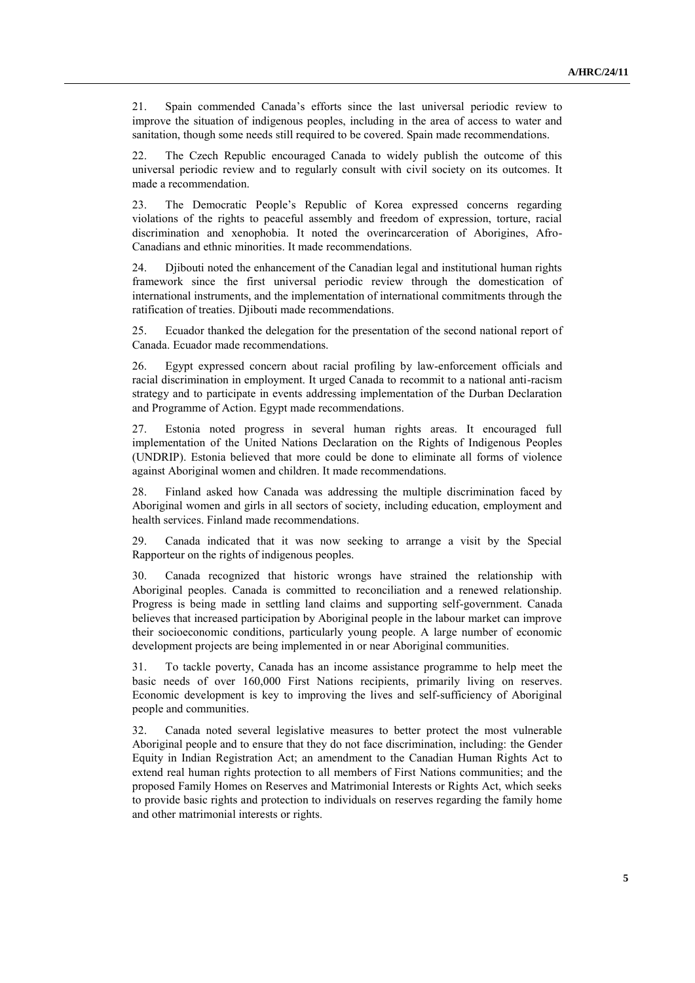21. Spain commended Canada's efforts since the last universal periodic review to improve the situation of indigenous peoples, including in the area of access to water and sanitation, though some needs still required to be covered. Spain made recommendations.

22. The Czech Republic encouraged Canada to widely publish the outcome of this universal periodic review and to regularly consult with civil society on its outcomes. It made a recommendation.

23. The Democratic People's Republic of Korea expressed concerns regarding violations of the rights to peaceful assembly and freedom of expression, torture, racial discrimination and xenophobia. It noted the overincarceration of Aborigines, Afro-Canadians and ethnic minorities. It made recommendations.

24. Djibouti noted the enhancement of the Canadian legal and institutional human rights framework since the first universal periodic review through the domestication of international instruments, and the implementation of international commitments through the ratification of treaties. Djibouti made recommendations.

25. Ecuador thanked the delegation for the presentation of the second national report of Canada. Ecuador made recommendations.

26. Egypt expressed concern about racial profiling by law-enforcement officials and racial discrimination in employment. It urged Canada to recommit to a national anti-racism strategy and to participate in events addressing implementation of the Durban Declaration and Programme of Action. Egypt made recommendations.

27. Estonia noted progress in several human rights areas. It encouraged full implementation of the United Nations Declaration on the Rights of Indigenous Peoples (UNDRIP). Estonia believed that more could be done to eliminate all forms of violence against Aboriginal women and children. It made recommendations.

28. Finland asked how Canada was addressing the multiple discrimination faced by Aboriginal women and girls in all sectors of society, including education, employment and health services. Finland made recommendations.

29. Canada indicated that it was now seeking to arrange a visit by the Special Rapporteur on the rights of indigenous peoples.

30. Canada recognized that historic wrongs have strained the relationship with Aboriginal peoples. Canada is committed to reconciliation and a renewed relationship. Progress is being made in settling land claims and supporting self-government. Canada believes that increased participation by Aboriginal people in the labour market can improve their socioeconomic conditions, particularly young people. A large number of economic development projects are being implemented in or near Aboriginal communities.

31. To tackle poverty, Canada has an income assistance programme to help meet the basic needs of over 160,000 First Nations recipients, primarily living on reserves. Economic development is key to improving the lives and self-sufficiency of Aboriginal people and communities.

32. Canada noted several legislative measures to better protect the most vulnerable Aboriginal people and to ensure that they do not face discrimination, including: the Gender Equity in Indian Registration Act; an amendment to the Canadian Human Rights Act to extend real human rights protection to all members of First Nations communities; and the proposed Family Homes on Reserves and Matrimonial Interests or Rights Act, which seeks to provide basic rights and protection to individuals on reserves regarding the family home and other matrimonial interests or rights.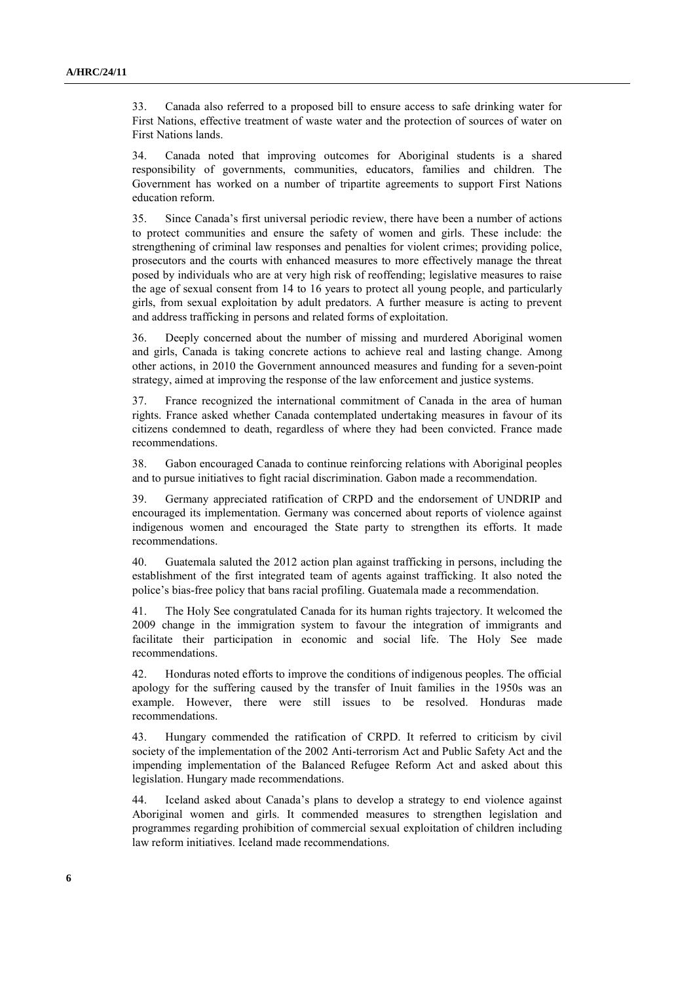33. Canada also referred to a proposed bill to ensure access to safe drinking water for First Nations, effective treatment of waste water and the protection of sources of water on First Nations lands.

34. Canada noted that improving outcomes for Aboriginal students is a shared responsibility of governments, communities, educators, families and children. The Government has worked on a number of tripartite agreements to support First Nations education reform.

35. Since Canada's first universal periodic review, there have been a number of actions to protect communities and ensure the safety of women and girls. These include: the strengthening of criminal law responses and penalties for violent crimes; providing police, prosecutors and the courts with enhanced measures to more effectively manage the threat posed by individuals who are at very high risk of reoffending; legislative measures to raise the age of sexual consent from 14 to 16 years to protect all young people, and particularly girls, from sexual exploitation by adult predators. A further measure is acting to prevent and address trafficking in persons and related forms of exploitation.

36. Deeply concerned about the number of missing and murdered Aboriginal women and girls, Canada is taking concrete actions to achieve real and lasting change. Among other actions, in 2010 the Government announced measures and funding for a seven-point strategy, aimed at improving the response of the law enforcement and justice systems.

37. France recognized the international commitment of Canada in the area of human rights. France asked whether Canada contemplated undertaking measures in favour of its citizens condemned to death, regardless of where they had been convicted. France made recommendations.

38. Gabon encouraged Canada to continue reinforcing relations with Aboriginal peoples and to pursue initiatives to fight racial discrimination. Gabon made a recommendation.

39. Germany appreciated ratification of CRPD and the endorsement of UNDRIP and encouraged its implementation. Germany was concerned about reports of violence against indigenous women and encouraged the State party to strengthen its efforts. It made recommendations.

40. Guatemala saluted the 2012 action plan against trafficking in persons, including the establishment of the first integrated team of agents against trafficking. It also noted the police's bias-free policy that bans racial profiling. Guatemala made a recommendation.

41. The Holy See congratulated Canada for its human rights trajectory. It welcomed the 2009 change in the immigration system to favour the integration of immigrants and facilitate their participation in economic and social life. The Holy See made recommendations.

42. Honduras noted efforts to improve the conditions of indigenous peoples. The official apology for the suffering caused by the transfer of Inuit families in the 1950s was an example. However, there were still issues to be resolved. Honduras made recommendations.

43. Hungary commended the ratification of CRPD. It referred to criticism by civil society of the implementation of the 2002 Anti-terrorism Act and Public Safety Act and the impending implementation of the Balanced Refugee Reform Act and asked about this legislation. Hungary made recommendations.

44. Iceland asked about Canada's plans to develop a strategy to end violence against Aboriginal women and girls. It commended measures to strengthen legislation and programmes regarding prohibition of commercial sexual exploitation of children including law reform initiatives. Iceland made recommendations.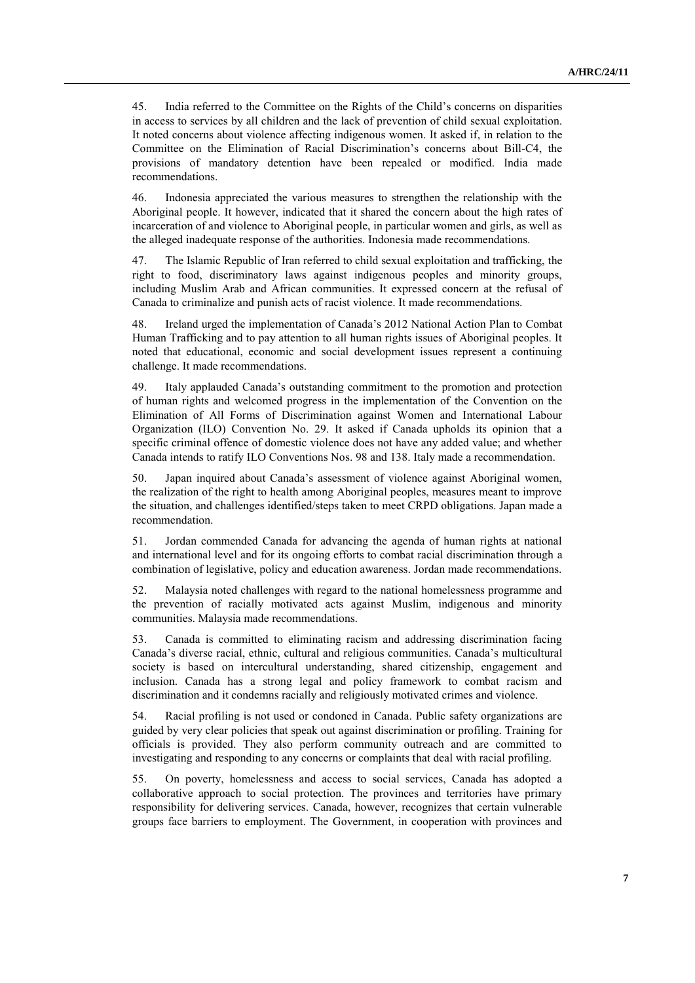45. India referred to the Committee on the Rights of the Child's concerns on disparities in access to services by all children and the lack of prevention of child sexual exploitation. It noted concerns about violence affecting indigenous women. It asked if, in relation to the Committee on the Elimination of Racial Discrimination's concerns about Bill-C4, the provisions of mandatory detention have been repealed or modified. India made recommendations.

46. Indonesia appreciated the various measures to strengthen the relationship with the Aboriginal people. It however, indicated that it shared the concern about the high rates of incarceration of and violence to Aboriginal people, in particular women and girls, as well as the alleged inadequate response of the authorities. Indonesia made recommendations.

47. The Islamic Republic of Iran referred to child sexual exploitation and trafficking, the right to food, discriminatory laws against indigenous peoples and minority groups, including Muslim Arab and African communities. It expressed concern at the refusal of Canada to criminalize and punish acts of racist violence. It made recommendations.

48. Ireland urged the implementation of Canada's 2012 National Action Plan to Combat Human Trafficking and to pay attention to all human rights issues of Aboriginal peoples. It noted that educational, economic and social development issues represent a continuing challenge. It made recommendations.

49. Italy applauded Canada's outstanding commitment to the promotion and protection of human rights and welcomed progress in the implementation of the Convention on the Elimination of All Forms of Discrimination against Women and International Labour Organization (ILO) Convention No. 29. It asked if Canada upholds its opinion that a specific criminal offence of domestic violence does not have any added value; and whether Canada intends to ratify ILO Conventions Nos. 98 and 138. Italy made a recommendation.

50. Japan inquired about Canada's assessment of violence against Aboriginal women, the realization of the right to health among Aboriginal peoples, measures meant to improve the situation, and challenges identified/steps taken to meet CRPD obligations. Japan made a recommendation.

51. Jordan commended Canada for advancing the agenda of human rights at national and international level and for its ongoing efforts to combat racial discrimination through a combination of legislative, policy and education awareness. Jordan made recommendations.

52. Malaysia noted challenges with regard to the national homelessness programme and the prevention of racially motivated acts against Muslim, indigenous and minority communities. Malaysia made recommendations.

53. Canada is committed to eliminating racism and addressing discrimination facing Canada's diverse racial, ethnic, cultural and religious communities. Canada's multicultural society is based on intercultural understanding, shared citizenship, engagement and inclusion. Canada has a strong legal and policy framework to combat racism and discrimination and it condemns racially and religiously motivated crimes and violence.

54. Racial profiling is not used or condoned in Canada. Public safety organizations are guided by very clear policies that speak out against discrimination or profiling. Training for officials is provided. They also perform community outreach and are committed to investigating and responding to any concerns or complaints that deal with racial profiling.

55. On poverty, homelessness and access to social services, Canada has adopted a collaborative approach to social protection. The provinces and territories have primary responsibility for delivering services. Canada, however, recognizes that certain vulnerable groups face barriers to employment. The Government, in cooperation with provinces and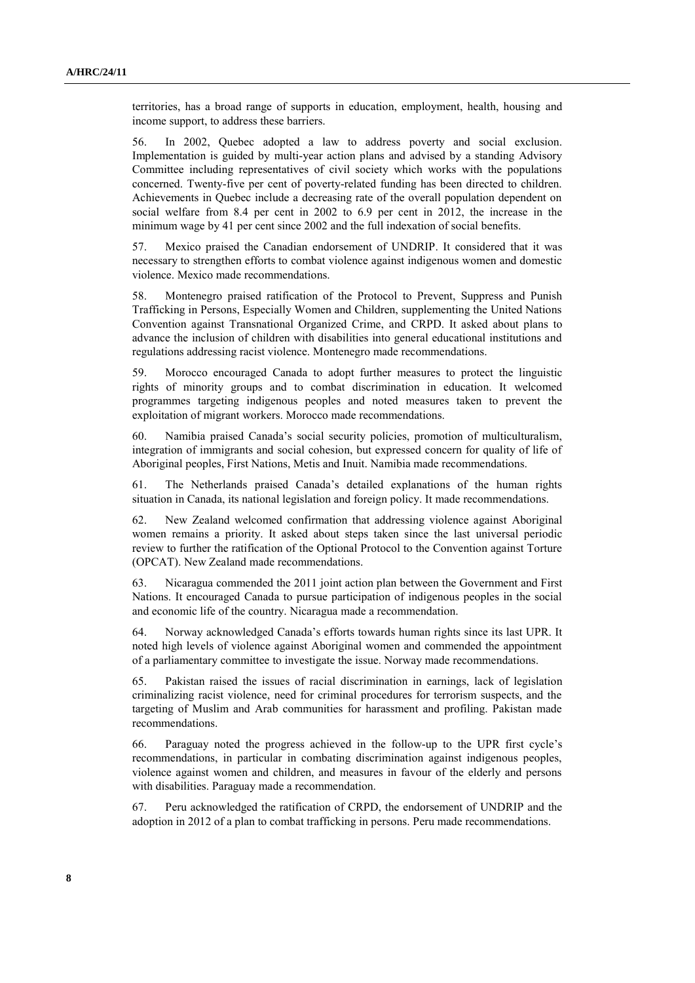territories, has a broad range of supports in education, employment, health, housing and income support, to address these barriers.

56. In 2002, Quebec adopted a law to address poverty and social exclusion. Implementation is guided by multi-year action plans and advised by a standing Advisory Committee including representatives of civil society which works with the populations concerned. Twenty-five per cent of poverty-related funding has been directed to children. Achievements in Quebec include a decreasing rate of the overall population dependent on social welfare from 8.4 per cent in 2002 to 6.9 per cent in 2012, the increase in the minimum wage by 41 per cent since 2002 and the full indexation of social benefits.

57. Mexico praised the Canadian endorsement of UNDRIP. It considered that it was necessary to strengthen efforts to combat violence against indigenous women and domestic violence. Mexico made recommendations.

58. Montenegro praised ratification of the Protocol to Prevent, Suppress and Punish Trafficking in Persons, Especially Women and Children, supplementing the United Nations Convention against Transnational Organized Crime, and CRPD. It asked about plans to advance the inclusion of children with disabilities into general educational institutions and regulations addressing racist violence. Montenegro made recommendations.

59. Morocco encouraged Canada to adopt further measures to protect the linguistic rights of minority groups and to combat discrimination in education. It welcomed programmes targeting indigenous peoples and noted measures taken to prevent the exploitation of migrant workers. Morocco made recommendations.

60. Namibia praised Canada's social security policies, promotion of multiculturalism, integration of immigrants and social cohesion, but expressed concern for quality of life of Aboriginal peoples, First Nations, Metis and Inuit. Namibia made recommendations.

61. The Netherlands praised Canada's detailed explanations of the human rights situation in Canada, its national legislation and foreign policy. It made recommendations.

62. New Zealand welcomed confirmation that addressing violence against Aboriginal women remains a priority. It asked about steps taken since the last universal periodic review to further the ratification of the Optional Protocol to the Convention against Torture (OPCAT). New Zealand made recommendations.

63. Nicaragua commended the 2011 joint action plan between the Government and First Nations. It encouraged Canada to pursue participation of indigenous peoples in the social and economic life of the country. Nicaragua made a recommendation.

64. Norway acknowledged Canada's efforts towards human rights since its last UPR. It noted high levels of violence against Aboriginal women and commended the appointment of a parliamentary committee to investigate the issue. Norway made recommendations.

65. Pakistan raised the issues of racial discrimination in earnings, lack of legislation criminalizing racist violence, need for criminal procedures for terrorism suspects, and the targeting of Muslim and Arab communities for harassment and profiling. Pakistan made recommendations.

66. Paraguay noted the progress achieved in the follow-up to the UPR first cycle's recommendations, in particular in combating discrimination against indigenous peoples, violence against women and children, and measures in favour of the elderly and persons with disabilities. Paraguay made a recommendation.

67. Peru acknowledged the ratification of CRPD, the endorsement of UNDRIP and the adoption in 2012 of a plan to combat trafficking in persons. Peru made recommendations.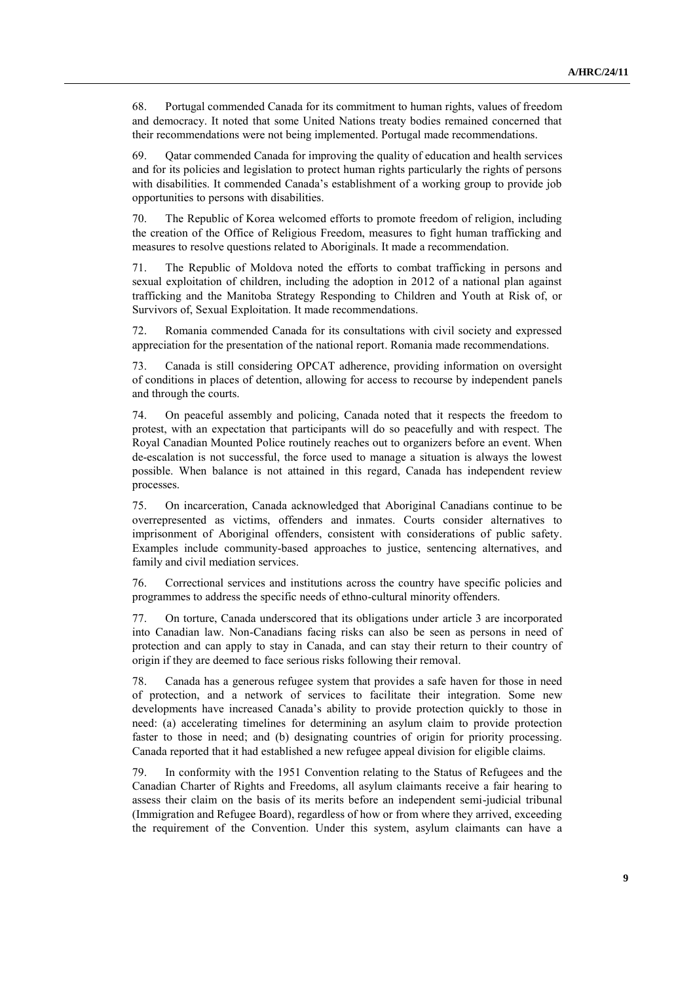68. Portugal commended Canada for its commitment to human rights, values of freedom and democracy. It noted that some United Nations treaty bodies remained concerned that their recommendations were not being implemented. Portugal made recommendations.

69. Qatar commended Canada for improving the quality of education and health services and for its policies and legislation to protect human rights particularly the rights of persons with disabilities. It commended Canada's establishment of a working group to provide job opportunities to persons with disabilities.

70. The Republic of Korea welcomed efforts to promote freedom of religion, including the creation of the Office of Religious Freedom, measures to fight human trafficking and measures to resolve questions related to Aboriginals. It made a recommendation.

71. The Republic of Moldova noted the efforts to combat trafficking in persons and sexual exploitation of children, including the adoption in 2012 of a national plan against trafficking and the Manitoba Strategy Responding to Children and Youth at Risk of, or Survivors of, Sexual Exploitation. It made recommendations.

72. Romania commended Canada for its consultations with civil society and expressed appreciation for the presentation of the national report. Romania made recommendations.

73. Canada is still considering OPCAT adherence, providing information on oversight of conditions in places of detention, allowing for access to recourse by independent panels and through the courts.

74. On peaceful assembly and policing, Canada noted that it respects the freedom to protest, with an expectation that participants will do so peacefully and with respect. The Royal Canadian Mounted Police routinely reaches out to organizers before an event. When de-escalation is not successful, the force used to manage a situation is always the lowest possible. When balance is not attained in this regard, Canada has independent review processes.

75. On incarceration, Canada acknowledged that Aboriginal Canadians continue to be overrepresented as victims, offenders and inmates. Courts consider alternatives to imprisonment of Aboriginal offenders, consistent with considerations of public safety. Examples include community-based approaches to justice, sentencing alternatives, and family and civil mediation services.

76. Correctional services and institutions across the country have specific policies and programmes to address the specific needs of ethno-cultural minority offenders.

77. On torture, Canada underscored that its obligations under article 3 are incorporated into Canadian law. Non-Canadians facing risks can also be seen as persons in need of protection and can apply to stay in Canada, and can stay their return to their country of origin if they are deemed to face serious risks following their removal.

78. Canada has a generous refugee system that provides a safe haven for those in need of protection, and a network of services to facilitate their integration. Some new developments have increased Canada's ability to provide protection quickly to those in need: (a) accelerating timelines for determining an asylum claim to provide protection faster to those in need; and (b) designating countries of origin for priority processing. Canada reported that it had established a new refugee appeal division for eligible claims.

79. In conformity with the 1951 Convention relating to the Status of Refugees and the Canadian Charter of Rights and Freedoms, all asylum claimants receive a fair hearing to assess their claim on the basis of its merits before an independent semi-judicial tribunal (Immigration and Refugee Board), regardless of how or from where they arrived, exceeding the requirement of the Convention. Under this system, asylum claimants can have a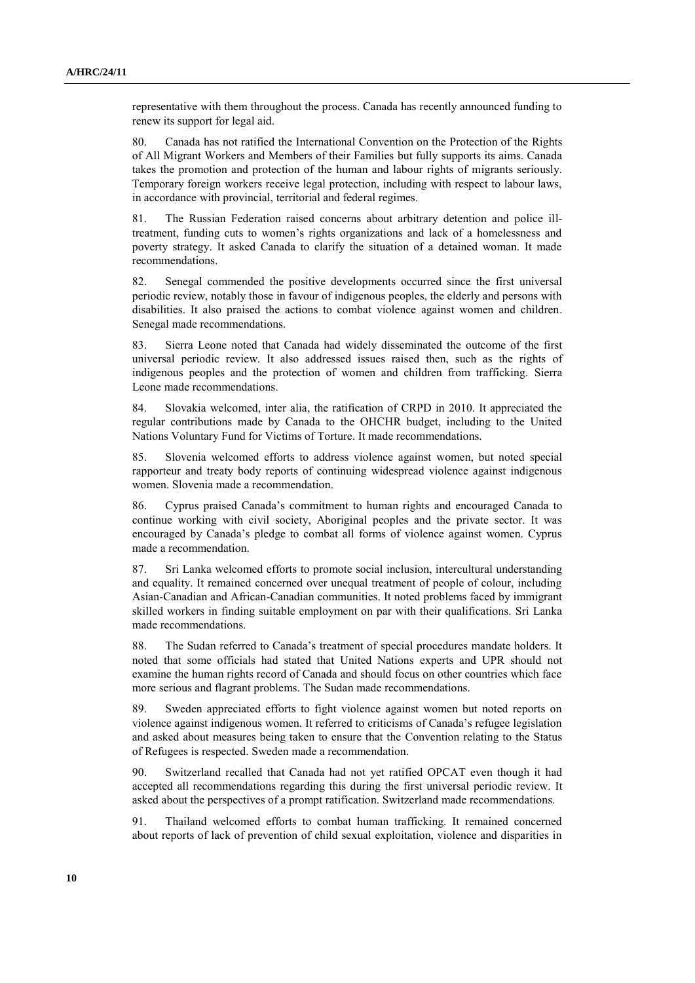representative with them throughout the process. Canada has recently announced funding to renew its support for legal aid.

80. Canada has not ratified the International Convention on the Protection of the Rights of All Migrant Workers and Members of their Families but fully supports its aims. Canada takes the promotion and protection of the human and labour rights of migrants seriously. Temporary foreign workers receive legal protection, including with respect to labour laws, in accordance with provincial, territorial and federal regimes.

81. The Russian Federation raised concerns about arbitrary detention and police illtreatment, funding cuts to women's rights organizations and lack of a homelessness and poverty strategy. It asked Canada to clarify the situation of a detained woman. It made recommendations.

82. Senegal commended the positive developments occurred since the first universal periodic review, notably those in favour of indigenous peoples, the elderly and persons with disabilities. It also praised the actions to combat violence against women and children. Senegal made recommendations.

83. Sierra Leone noted that Canada had widely disseminated the outcome of the first universal periodic review. It also addressed issues raised then, such as the rights of indigenous peoples and the protection of women and children from trafficking. Sierra Leone made recommendations.

84. Slovakia welcomed, inter alia, the ratification of CRPD in 2010. It appreciated the regular contributions made by Canada to the OHCHR budget, including to the United Nations Voluntary Fund for Victims of Torture. It made recommendations.

85. Slovenia welcomed efforts to address violence against women, but noted special rapporteur and treaty body reports of continuing widespread violence against indigenous women. Slovenia made a recommendation.

86. Cyprus praised Canada's commitment to human rights and encouraged Canada to continue working with civil society, Aboriginal peoples and the private sector. It was encouraged by Canada's pledge to combat all forms of violence against women. Cyprus made a recommendation.

87. Sri Lanka welcomed efforts to promote social inclusion, intercultural understanding and equality. It remained concerned over unequal treatment of people of colour, including Asian-Canadian and African-Canadian communities. It noted problems faced by immigrant skilled workers in finding suitable employment on par with their qualifications. Sri Lanka made recommendations.

88. The Sudan referred to Canada's treatment of special procedures mandate holders. It noted that some officials had stated that United Nations experts and UPR should not examine the human rights record of Canada and should focus on other countries which face more serious and flagrant problems. The Sudan made recommendations.

89. Sweden appreciated efforts to fight violence against women but noted reports on violence against indigenous women. It referred to criticisms of Canada's refugee legislation and asked about measures being taken to ensure that the Convention relating to the Status of Refugees is respected. Sweden made a recommendation.

90. Switzerland recalled that Canada had not yet ratified OPCAT even though it had accepted all recommendations regarding this during the first universal periodic review. It asked about the perspectives of a prompt ratification. Switzerland made recommendations.

91. Thailand welcomed efforts to combat human trafficking. It remained concerned about reports of lack of prevention of child sexual exploitation, violence and disparities in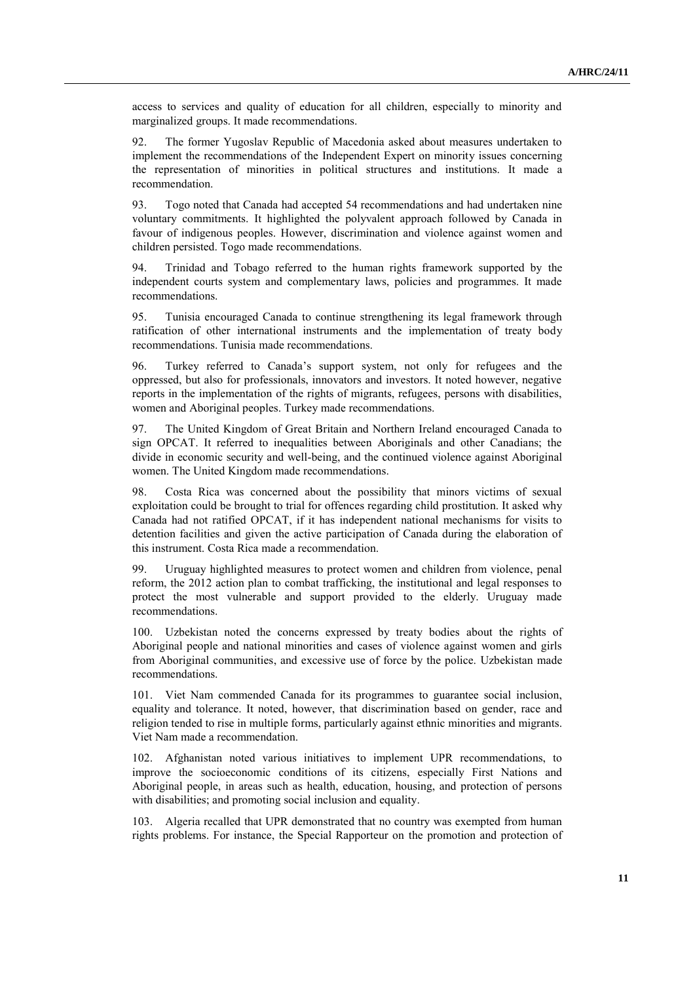access to services and quality of education for all children, especially to minority and marginalized groups. It made recommendations.

92. The former Yugoslav Republic of Macedonia asked about measures undertaken to implement the recommendations of the Independent Expert on minority issues concerning the representation of minorities in political structures and institutions. It made a recommendation.

93. Togo noted that Canada had accepted 54 recommendations and had undertaken nine voluntary commitments. It highlighted the polyvalent approach followed by Canada in favour of indigenous peoples. However, discrimination and violence against women and children persisted. Togo made recommendations.

94. Trinidad and Tobago referred to the human rights framework supported by the independent courts system and complementary laws, policies and programmes. It made recommendations.

95. Tunisia encouraged Canada to continue strengthening its legal framework through ratification of other international instruments and the implementation of treaty body recommendations. Tunisia made recommendations.

96. Turkey referred to Canada's support system, not only for refugees and the oppressed, but also for professionals, innovators and investors. It noted however, negative reports in the implementation of the rights of migrants, refugees, persons with disabilities, women and Aboriginal peoples. Turkey made recommendations.

97. The United Kingdom of Great Britain and Northern Ireland encouraged Canada to sign OPCAT. It referred to inequalities between Aboriginals and other Canadians; the divide in economic security and well-being, and the continued violence against Aboriginal women. The United Kingdom made recommendations.

98. Costa Rica was concerned about the possibility that minors victims of sexual exploitation could be brought to trial for offences regarding child prostitution. It asked why Canada had not ratified OPCAT, if it has independent national mechanisms for visits to detention facilities and given the active participation of Canada during the elaboration of this instrument. Costa Rica made a recommendation.

99. Uruguay highlighted measures to protect women and children from violence, penal reform, the 2012 action plan to combat trafficking, the institutional and legal responses to protect the most vulnerable and support provided to the elderly. Uruguay made recommendations.

100. Uzbekistan noted the concerns expressed by treaty bodies about the rights of Aboriginal people and national minorities and cases of violence against women and girls from Aboriginal communities, and excessive use of force by the police. Uzbekistan made recommendations.

101. Viet Nam commended Canada for its programmes to guarantee social inclusion, equality and tolerance. It noted, however, that discrimination based on gender, race and religion tended to rise in multiple forms, particularly against ethnic minorities and migrants. Viet Nam made a recommendation.

102. Afghanistan noted various initiatives to implement UPR recommendations, to improve the socioeconomic conditions of its citizens, especially First Nations and Aboriginal people, in areas such as health, education, housing, and protection of persons with disabilities; and promoting social inclusion and equality.

103. Algeria recalled that UPR demonstrated that no country was exempted from human rights problems. For instance, the Special Rapporteur on the promotion and protection of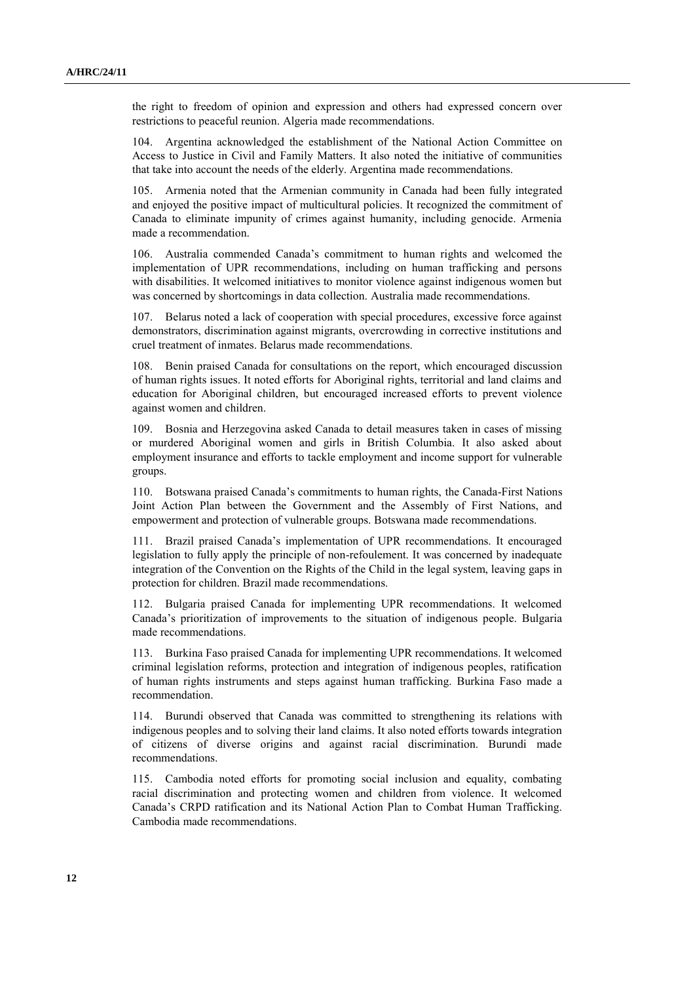the right to freedom of opinion and expression and others had expressed concern over restrictions to peaceful reunion. Algeria made recommendations.

104. Argentina acknowledged the establishment of the National Action Committee on Access to Justice in Civil and Family Matters. It also noted the initiative of communities that take into account the needs of the elderly. Argentina made recommendations.

105. Armenia noted that the Armenian community in Canada had been fully integrated and enjoyed the positive impact of multicultural policies. It recognized the commitment of Canada to eliminate impunity of crimes against humanity, including genocide. Armenia made a recommendation.

106. Australia commended Canada's commitment to human rights and welcomed the implementation of UPR recommendations, including on human trafficking and persons with disabilities. It welcomed initiatives to monitor violence against indigenous women but was concerned by shortcomings in data collection. Australia made recommendations.

107. Belarus noted a lack of cooperation with special procedures, excessive force against demonstrators, discrimination against migrants, overcrowding in corrective institutions and cruel treatment of inmates. Belarus made recommendations.

108. Benin praised Canada for consultations on the report, which encouraged discussion of human rights issues. It noted efforts for Aboriginal rights, territorial and land claims and education for Aboriginal children, but encouraged increased efforts to prevent violence against women and children.

109. Bosnia and Herzegovina asked Canada to detail measures taken in cases of missing or murdered Aboriginal women and girls in British Columbia. It also asked about employment insurance and efforts to tackle employment and income support for vulnerable groups.

110. Botswana praised Canada's commitments to human rights, the Canada-First Nations Joint Action Plan between the Government and the Assembly of First Nations, and empowerment and protection of vulnerable groups. Botswana made recommendations.

111. Brazil praised Canada's implementation of UPR recommendations. It encouraged legislation to fully apply the principle of non-refoulement. It was concerned by inadequate integration of the Convention on the Rights of the Child in the legal system, leaving gaps in protection for children. Brazil made recommendations.

112. Bulgaria praised Canada for implementing UPR recommendations. It welcomed Canada's prioritization of improvements to the situation of indigenous people. Bulgaria made recommendations.

113. Burkina Faso praised Canada for implementing UPR recommendations. It welcomed criminal legislation reforms, protection and integration of indigenous peoples, ratification of human rights instruments and steps against human trafficking. Burkina Faso made a recommendation.

114. Burundi observed that Canada was committed to strengthening its relations with indigenous peoples and to solving their land claims. It also noted efforts towards integration of citizens of diverse origins and against racial discrimination. Burundi made recommendations.

115. Cambodia noted efforts for promoting social inclusion and equality, combating racial discrimination and protecting women and children from violence. It welcomed Canada's CRPD ratification and its National Action Plan to Combat Human Trafficking. Cambodia made recommendations.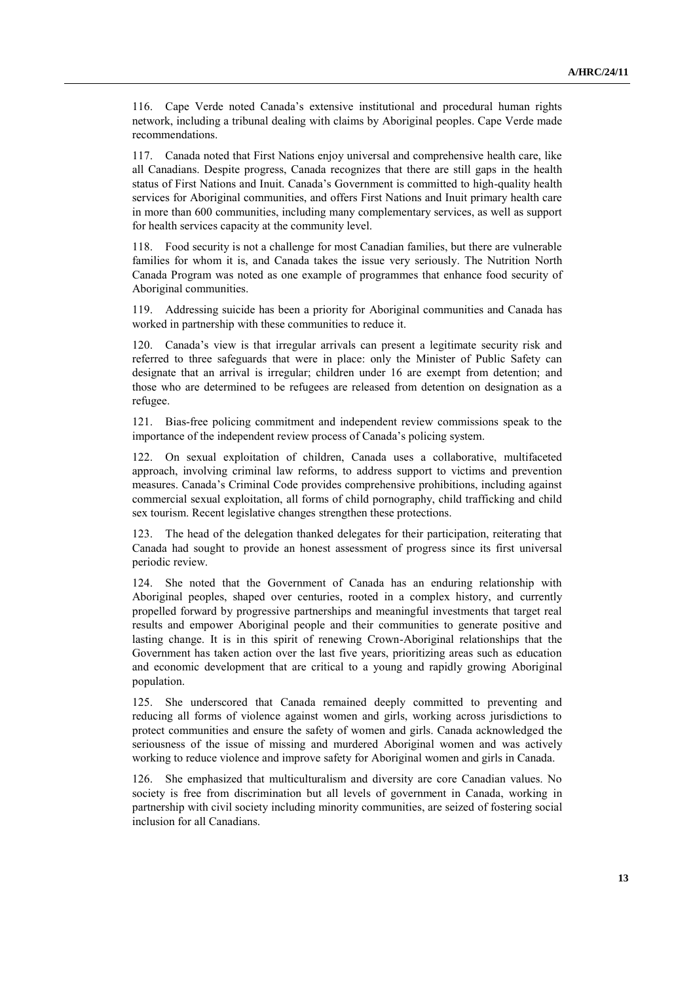116. Cape Verde noted Canada's extensive institutional and procedural human rights network, including a tribunal dealing with claims by Aboriginal peoples. Cape Verde made recommendations.

117. Canada noted that First Nations enjoy universal and comprehensive health care, like all Canadians. Despite progress, Canada recognizes that there are still gaps in the health status of First Nations and Inuit. Canada's Government is committed to high-quality health services for Aboriginal communities, and offers First Nations and Inuit primary health care in more than 600 communities, including many complementary services, as well as support for health services capacity at the community level.

118. Food security is not a challenge for most Canadian families, but there are vulnerable families for whom it is, and Canada takes the issue very seriously. The Nutrition North Canada Program was noted as one example of programmes that enhance food security of Aboriginal communities.

119. Addressing suicide has been a priority for Aboriginal communities and Canada has worked in partnership with these communities to reduce it.

120. Canada's view is that irregular arrivals can present a legitimate security risk and referred to three safeguards that were in place: only the Minister of Public Safety can designate that an arrival is irregular; children under 16 are exempt from detention; and those who are determined to be refugees are released from detention on designation as a refugee.

121. Bias-free policing commitment and independent review commissions speak to the importance of the independent review process of Canada's policing system.

122. On sexual exploitation of children, Canada uses a collaborative, multifaceted approach, involving criminal law reforms, to address support to victims and prevention measures. Canada's Criminal Code provides comprehensive prohibitions, including against commercial sexual exploitation, all forms of child pornography, child trafficking and child sex tourism. Recent legislative changes strengthen these protections.

123. The head of the delegation thanked delegates for their participation, reiterating that Canada had sought to provide an honest assessment of progress since its first universal periodic review.

124. She noted that the Government of Canada has an enduring relationship with Aboriginal peoples, shaped over centuries, rooted in a complex history, and currently propelled forward by progressive partnerships and meaningful investments that target real results and empower Aboriginal people and their communities to generate positive and lasting change. It is in this spirit of renewing Crown-Aboriginal relationships that the Government has taken action over the last five years, prioritizing areas such as education and economic development that are critical to a young and rapidly growing Aboriginal population.

125. She underscored that Canada remained deeply committed to preventing and reducing all forms of violence against women and girls, working across jurisdictions to protect communities and ensure the safety of women and girls. Canada acknowledged the seriousness of the issue of missing and murdered Aboriginal women and was actively working to reduce violence and improve safety for Aboriginal women and girls in Canada.

126. She emphasized that multiculturalism and diversity are core Canadian values. No society is free from discrimination but all levels of government in Canada, working in partnership with civil society including minority communities, are seized of fostering social inclusion for all Canadians.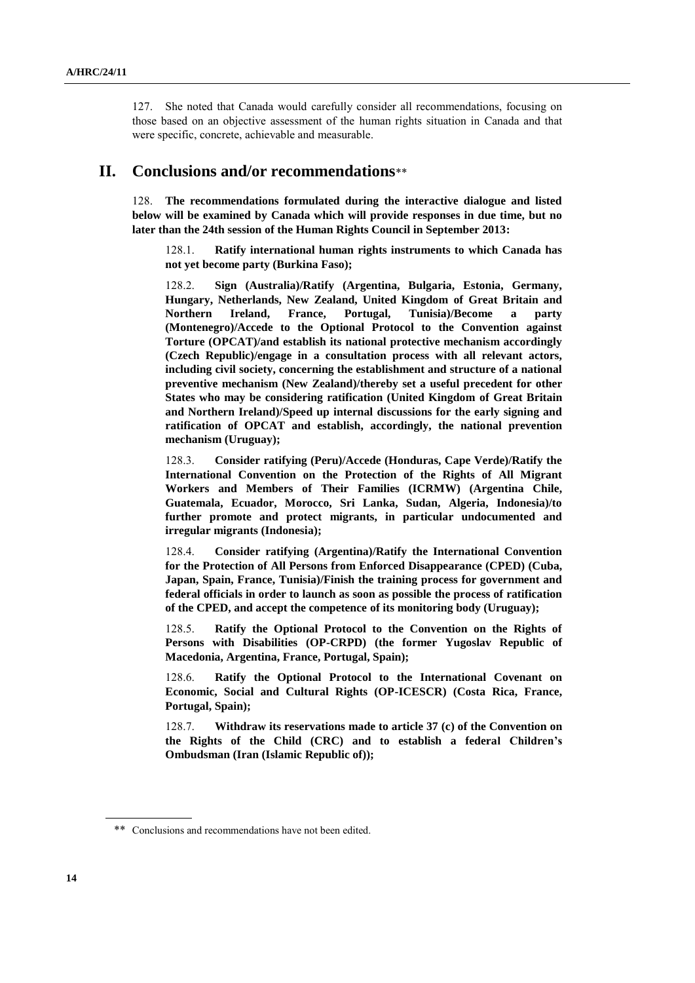127. She noted that Canada would carefully consider all recommendations, focusing on those based on an objective assessment of the human rights situation in Canada and that were specific, concrete, achievable and measurable.

### **II. Conclusions and/or recommendations**\*\*

128. **The recommendations formulated during the interactive dialogue and listed below will be examined by Canada which will provide responses in due time, but no later than the 24th session of the Human Rights Council in September 2013:**

128.1. **Ratify international human rights instruments to which Canada has not yet become party (Burkina Faso);**

128.2. **Sign (Australia)/Ratify (Argentina, Bulgaria, Estonia, Germany, Hungary, Netherlands, New Zealand, United Kingdom of Great Britain and Northern Ireland, France, Portugal, Tunisia)/Become a party (Montenegro)/Accede to the Optional Protocol to the Convention against Torture (OPCAT)/and establish its national protective mechanism accordingly (Czech Republic)/engage in a consultation process with all relevant actors, including civil society, concerning the establishment and structure of a national preventive mechanism (New Zealand)/thereby set a useful precedent for other States who may be considering ratification (United Kingdom of Great Britain and Northern Ireland)/Speed up internal discussions for the early signing and ratification of OPCAT and establish, accordingly, the national prevention mechanism (Uruguay);**

128.3. **Consider ratifying (Peru)/Accede (Honduras, Cape Verde)/Ratify the International Convention on the Protection of the Rights of All Migrant Workers and Members of Their Families (ICRMW) (Argentina Chile, Guatemala, Ecuador, Morocco, Sri Lanka, Sudan, Algeria, Indonesia)/to further promote and protect migrants, in particular undocumented and irregular migrants (Indonesia);**

128.4. **Consider ratifying (Argentina)/Ratify the International Convention for the Protection of All Persons from Enforced Disappearance (CPED) (Cuba, Japan, Spain, France, Tunisia)/Finish the training process for government and federal officials in order to launch as soon as possible the process of ratification of the CPED, and accept the competence of its monitoring body (Uruguay);**

128.5. **Ratify the Optional Protocol to the Convention on the Rights of Persons with Disabilities (OP-CRPD) (the former Yugoslav Republic of Macedonia, Argentina, France, Portugal, Spain);**

128.6. **Ratify the Optional Protocol to the International Covenant on Economic, Social and Cultural Rights (OP-ICESCR) (Costa Rica, France, Portugal, Spain);**

128.7. **Withdraw its reservations made to article 37 (c) of the Convention on the Rights of the Child (CRC) and to establish a federal Children's Ombudsman (Iran (Islamic Republic of));**

<sup>\*\*</sup> Conclusions and recommendations have not been edited.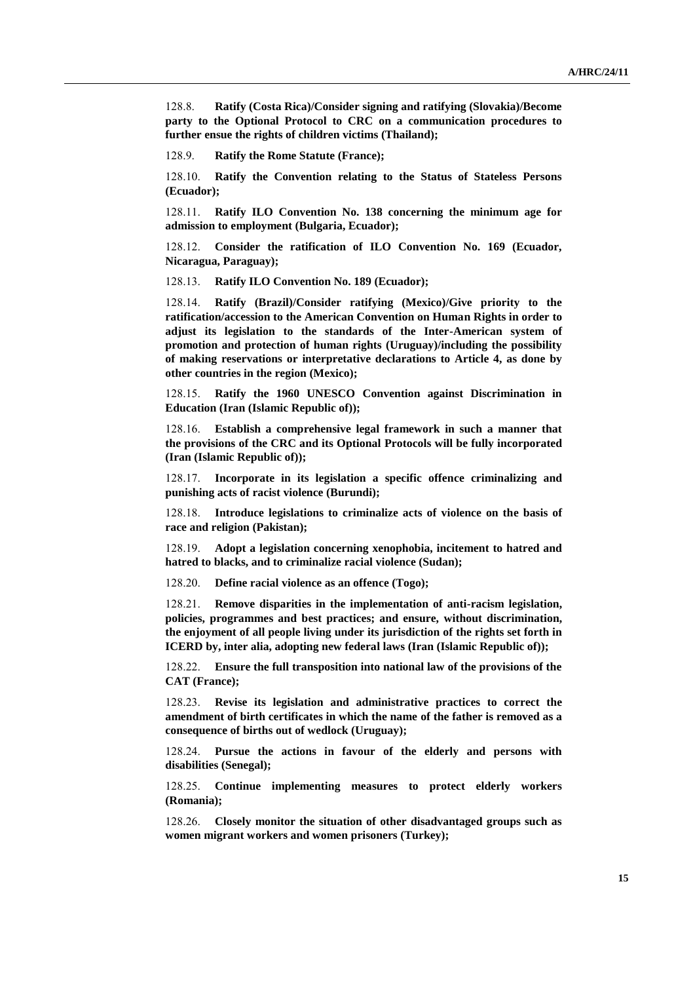128.8. **Ratify (Costa Rica)/Consider signing and ratifying (Slovakia)/Become party to the Optional Protocol to CRC on a communication procedures to further ensue the rights of children victims (Thailand);**

128.9. **Ratify the Rome Statute (France);**

128.10. **Ratify the Convention relating to the Status of Stateless Persons (Ecuador);**

128.11. **Ratify ILO Convention No. 138 concerning the minimum age for admission to employment (Bulgaria, Ecuador);**

128.12. **Consider the ratification of ILO Convention No. 169 (Ecuador, Nicaragua, Paraguay);**

128.13. **Ratify ILO Convention No. 189 (Ecuador);**

128.14. **Ratify (Brazil)/Consider ratifying (Mexico)/Give priority to the ratification/accession to the American Convention on Human Rights in order to adjust its legislation to the standards of the Inter-American system of promotion and protection of human rights (Uruguay)/including the possibility of making reservations or interpretative declarations to Article 4, as done by other countries in the region (Mexico);**

128.15. **Ratify the 1960 UNESCO Convention against Discrimination in Education (Iran (Islamic Republic of));**

128.16. **Establish a comprehensive legal framework in such a manner that the provisions of the CRC and its Optional Protocols will be fully incorporated (Iran (Islamic Republic of));**

128.17. **Incorporate in its legislation a specific offence criminalizing and punishing acts of racist violence (Burundi);**

128.18. **Introduce legislations to criminalize acts of violence on the basis of race and religion (Pakistan);**

128.19. **Adopt a legislation concerning xenophobia, incitement to hatred and hatred to blacks, and to criminalize racial violence (Sudan);**

128.20. **Define racial violence as an offence (Togo);**

128.21. **Remove disparities in the implementation of anti-racism legislation, policies, programmes and best practices; and ensure, without discrimination, the enjoyment of all people living under its jurisdiction of the rights set forth in ICERD by, inter alia, adopting new federal laws (Iran (Islamic Republic of));** 

128.22. **Ensure the full transposition into national law of the provisions of the CAT (France);**

128.23. **Revise its legislation and administrative practices to correct the amendment of birth certificates in which the name of the father is removed as a consequence of births out of wedlock (Uruguay);**

128.24. **Pursue the actions in favour of the elderly and persons with disabilities (Senegal);**

128.25. **Continue implementing measures to protect elderly workers (Romania);**

128.26. **Closely monitor the situation of other disadvantaged groups such as women migrant workers and women prisoners (Turkey);**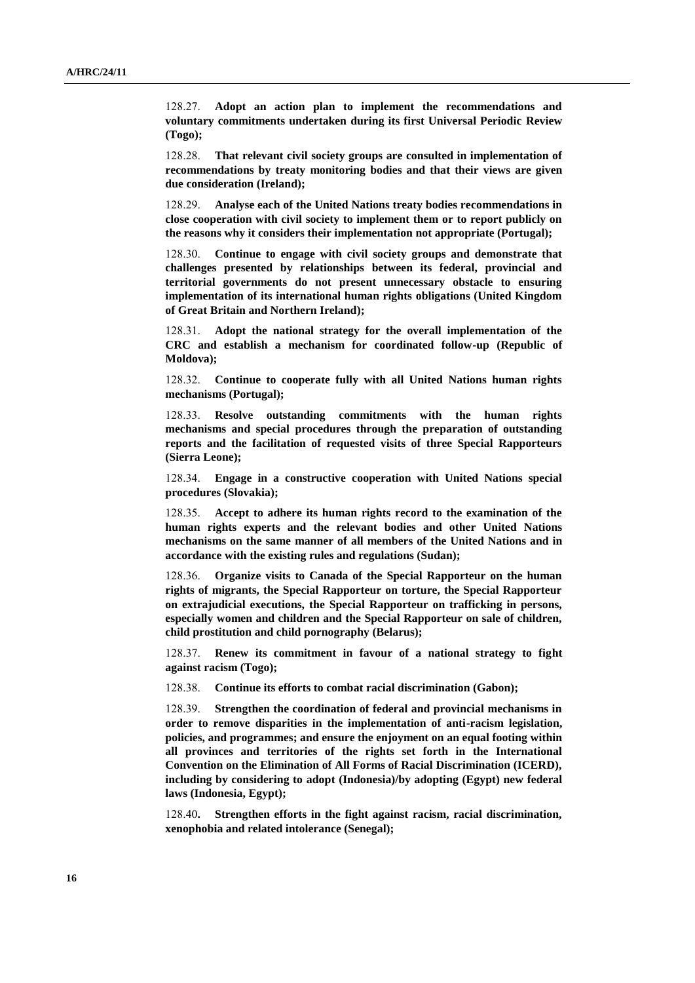128.27. **Adopt an action plan to implement the recommendations and voluntary commitments undertaken during its first Universal Periodic Review (Togo);**

128.28. **That relevant civil society groups are consulted in implementation of recommendations by treaty monitoring bodies and that their views are given due consideration (Ireland);**

128.29. **Analyse each of the United Nations treaty bodies recommendations in close cooperation with civil society to implement them or to report publicly on the reasons why it considers their implementation not appropriate (Portugal);**

128.30. **Continue to engage with civil society groups and demonstrate that challenges presented by relationships between its federal, provincial and territorial governments do not present unnecessary obstacle to ensuring implementation of its international human rights obligations (United Kingdom of Great Britain and Northern Ireland);**

128.31. **Adopt the national strategy for the overall implementation of the CRC and establish a mechanism for coordinated follow-up (Republic of Moldova);**

128.32. **Continue to cooperate fully with all United Nations human rights mechanisms (Portugal);**

128.33. **Resolve outstanding commitments with the human rights mechanisms and special procedures through the preparation of outstanding reports and the facilitation of requested visits of three Special Rapporteurs (Sierra Leone);**

128.34. **Engage in a constructive cooperation with United Nations special procedures (Slovakia);**

128.35. **Accept to adhere its human rights record to the examination of the human rights experts and the relevant bodies and other United Nations mechanisms on the same manner of all members of the United Nations and in accordance with the existing rules and regulations (Sudan);**

128.36. **Organize visits to Canada of the Special Rapporteur on the human rights of migrants, the Special Rapporteur on torture, the Special Rapporteur on extrajudicial executions, the Special Rapporteur on trafficking in persons, especially women and children and the Special Rapporteur on sale of children, child prostitution and child pornography (Belarus);**

128.37. **Renew its commitment in favour of a national strategy to fight against racism (Togo);**

128.38. **Continue its efforts to combat racial discrimination (Gabon);**

128.39. **Strengthen the coordination of federal and provincial mechanisms in order to remove disparities in the implementation of anti-racism legislation, policies, and programmes; and ensure the enjoyment on an equal footing within all provinces and territories of the rights set forth in the International Convention on the Elimination of All Forms of Racial Discrimination (ICERD), including by considering to adopt (Indonesia)/by adopting (Egypt) new federal laws (Indonesia, Egypt);**

128.40**. Strengthen efforts in the fight against racism, racial discrimination, xenophobia and related intolerance (Senegal);**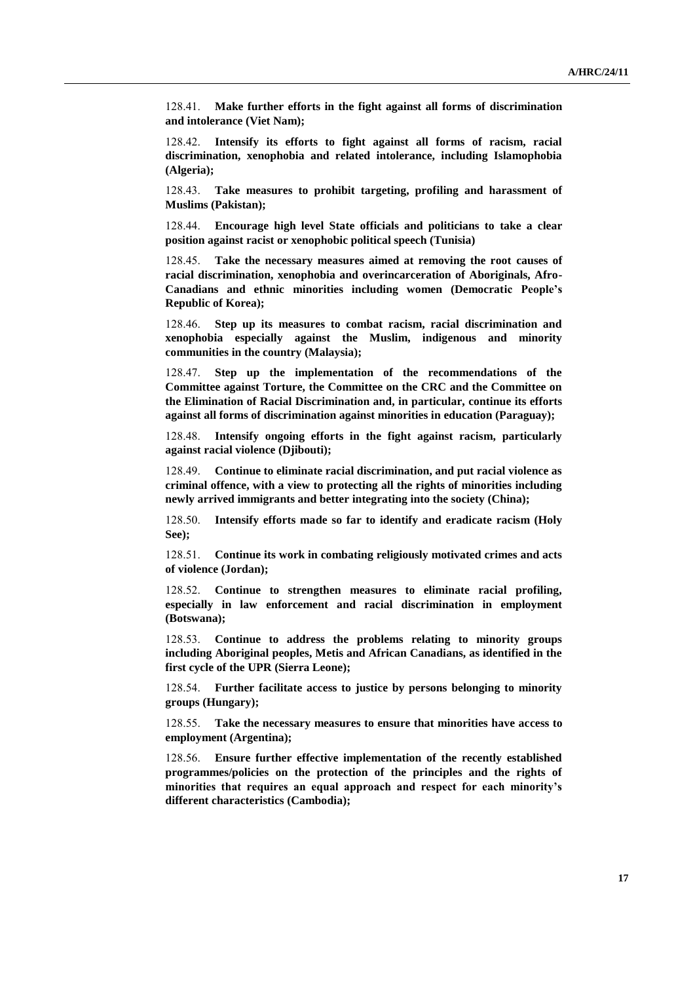128.41. **Make further efforts in the fight against all forms of discrimination and intolerance (Viet Nam);**

128.42. **Intensify its efforts to fight against all forms of racism, racial discrimination, xenophobia and related intolerance, including Islamophobia (Algeria);**

128.43. **Take measures to prohibit targeting, profiling and harassment of Muslims (Pakistan);**

128.44. **Encourage high level State officials and politicians to take a clear position against racist or xenophobic political speech (Tunisia)**

128.45. **Take the necessary measures aimed at removing the root causes of racial discrimination, xenophobia and overincarceration of Aboriginals, Afro-Canadians and ethnic minorities including women (Democratic People's Republic of Korea);**

128.46. **Step up its measures to combat racism, racial discrimination and xenophobia especially against the Muslim, indigenous and minority communities in the country (Malaysia);**

128.47. **Step up the implementation of the recommendations of the Committee against Torture, the Committee on the CRC and the Committee on the Elimination of Racial Discrimination and, in particular, continue its efforts against all forms of discrimination against minorities in education (Paraguay);**

128.48. **Intensify ongoing efforts in the fight against racism, particularly against racial violence (Djibouti);**

128.49. **Continue to eliminate racial discrimination, and put racial violence as criminal offence, with a view to protecting all the rights of minorities including newly arrived immigrants and better integrating into the society (China);**

128.50. **Intensify efforts made so far to identify and eradicate racism (Holy See);**

128.51. **Continue its work in combating religiously motivated crimes and acts of violence (Jordan);**

128.52. **Continue to strengthen measures to eliminate racial profiling, especially in law enforcement and racial discrimination in employment (Botswana);**

128.53. **Continue to address the problems relating to minority groups including Aboriginal peoples, Metis and African Canadians, as identified in the first cycle of the UPR (Sierra Leone);**

128.54. **Further facilitate access to justice by persons belonging to minority groups (Hungary);**

128.55. **Take the necessary measures to ensure that minorities have access to employment (Argentina);**

128.56. **Ensure further effective implementation of the recently established programmes/policies on the protection of the principles and the rights of minorities that requires an equal approach and respect for each minority's different characteristics (Cambodia);**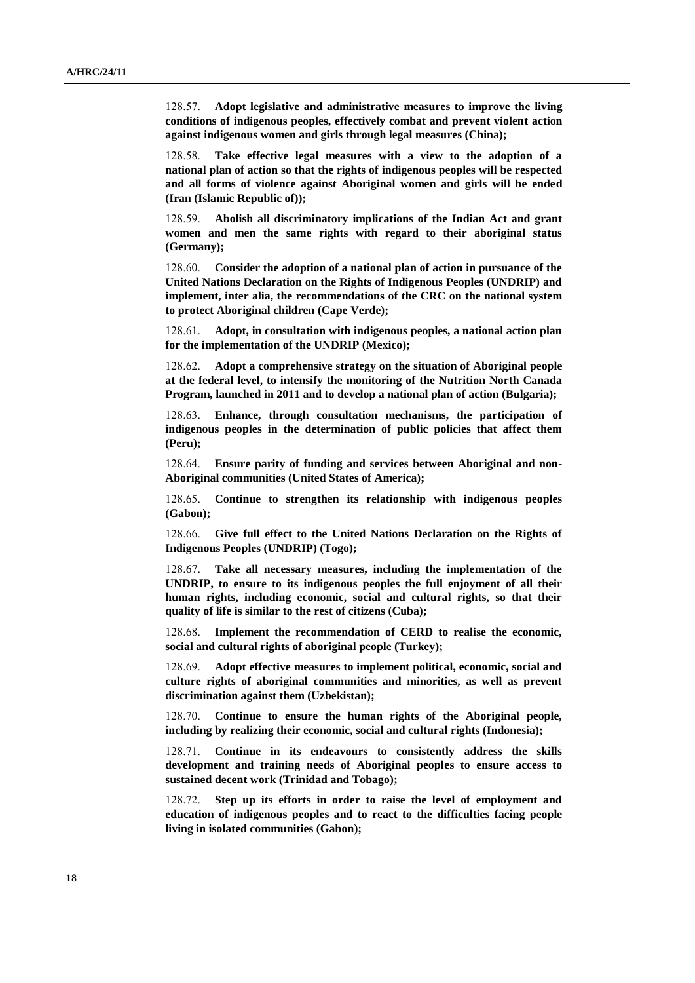128.57. **Adopt legislative and administrative measures to improve the living conditions of indigenous peoples, effectively combat and prevent violent action against indigenous women and girls through legal measures (China);**

128.58. **Take effective legal measures with a view to the adoption of a national plan of action so that the rights of indigenous peoples will be respected and all forms of violence against Aboriginal women and girls will be ended (Iran (Islamic Republic of));**

128.59. **Abolish all discriminatory implications of the Indian Act and grant women and men the same rights with regard to their aboriginal status (Germany);**

128.60. **Consider the adoption of a national plan of action in pursuance of the United Nations Declaration on the Rights of Indigenous Peoples (UNDRIP) and implement, inter alia, the recommendations of the CRC on the national system to protect Aboriginal children (Cape Verde);**

128.61. **Adopt, in consultation with indigenous peoples, a national action plan for the implementation of the UNDRIP (Mexico);**

128.62. **Adopt a comprehensive strategy on the situation of Aboriginal people at the federal level, to intensify the monitoring of the Nutrition North Canada Program, launched in 2011 and to develop a national plan of action (Bulgaria);**

128.63. **Enhance, through consultation mechanisms, the participation of indigenous peoples in the determination of public policies that affect them (Peru);**

128.64. **Ensure parity of funding and services between Aboriginal and non-Aboriginal communities (United States of America);**

128.65. **Continue to strengthen its relationship with indigenous peoples (Gabon);**

128.66. **Give full effect to the United Nations Declaration on the Rights of Indigenous Peoples (UNDRIP) (Togo);**

128.67. **Take all necessary measures, including the implementation of the UNDRIP, to ensure to its indigenous peoples the full enjoyment of all their human rights, including economic, social and cultural rights, so that their quality of life is similar to the rest of citizens (Cuba);**

128.68. **Implement the recommendation of CERD to realise the economic, social and cultural rights of aboriginal people (Turkey);**

128.69. **Adopt effective measures to implement political, economic, social and culture rights of aboriginal communities and minorities, as well as prevent discrimination against them (Uzbekistan);**

128.70. **Continue to ensure the human rights of the Aboriginal people, including by realizing their economic, social and cultural rights (Indonesia);** 

128.71. **Continue in its endeavours to consistently address the skills development and training needs of Aboriginal peoples to ensure access to sustained decent work (Trinidad and Tobago);**

128.72. **Step up its efforts in order to raise the level of employment and education of indigenous peoples and to react to the difficulties facing people living in isolated communities (Gabon);**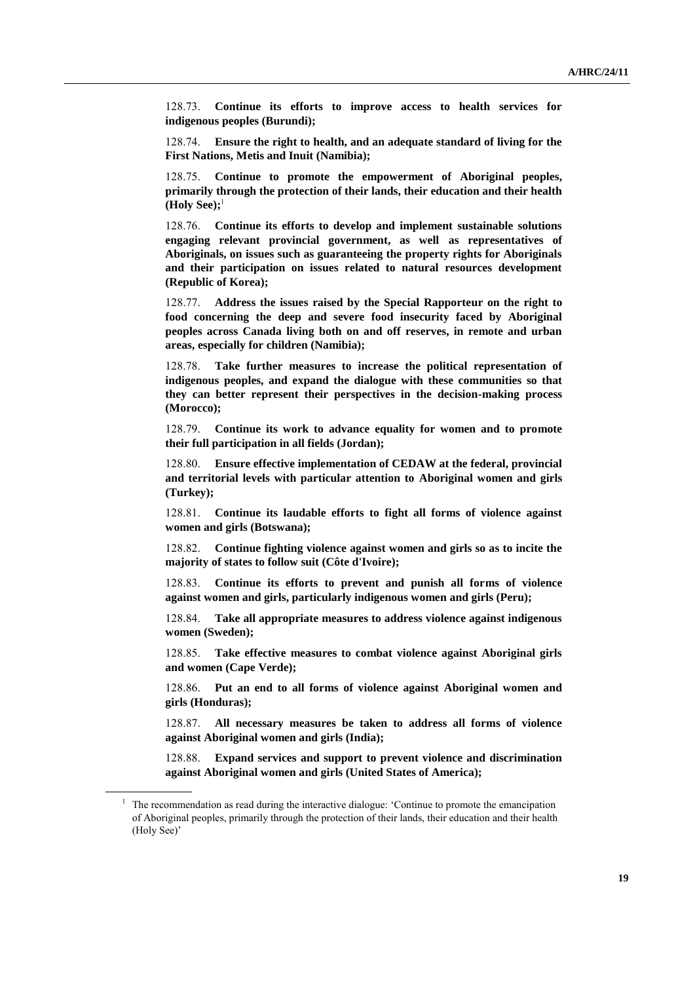128.73. **Continue its efforts to improve access to health services for indigenous peoples (Burundi);**

128.74. **Ensure the right to health, and an adequate standard of living for the First Nations, Metis and Inuit (Namibia);**

128.75. **Continue to promote the empowerment of Aboriginal peoples, primarily through the protection of their lands, their education and their health (Holy See);**<sup>1</sup>

128.76. **Continue its efforts to develop and implement sustainable solutions engaging relevant provincial government, as well as representatives of Aboriginals, on issues such as guaranteeing the property rights for Aboriginals and their participation on issues related to natural resources development (Republic of Korea);**

128.77. **Address the issues raised by the Special Rapporteur on the right to food concerning the deep and severe food insecurity faced by Aboriginal peoples across Canada living both on and off reserves, in remote and urban areas, especially for children (Namibia);**

128.78. **Take further measures to increase the political representation of indigenous peoples, and expand the dialogue with these communities so that they can better represent their perspectives in the decision-making process (Morocco);**

128.79. **Continue its work to advance equality for women and to promote their full participation in all fields (Jordan);**

128.80. **Ensure effective implementation of CEDAW at the federal, provincial and territorial levels with particular attention to Aboriginal women and girls (Turkey);**

128.81. **Continue its laudable efforts to fight all forms of violence against women and girls (Botswana);**

128.82. **Continue fighting violence against women and girls so as to incite the majority of states to follow suit (Côte d'Ivoire);**

128.83. **Continue its efforts to prevent and punish all forms of violence against women and girls, particularly indigenous women and girls (Peru);**

128.84. **Take all appropriate measures to address violence against indigenous women (Sweden);**

128.85. **Take effective measures to combat violence against Aboriginal girls and women (Cape Verde);**

128.86. **Put an end to all forms of violence against Aboriginal women and girls (Honduras);**

128.87. **All necessary measures be taken to address all forms of violence against Aboriginal women and girls (India);**

128.88. **Expand services and support to prevent violence and discrimination against Aboriginal women and girls (United States of America);**

<sup>&</sup>lt;sup>1</sup> The recommendation as read during the interactive dialogue: 'Continue to promote the emancipation of Aboriginal peoples, primarily through the protection of their lands, their education and their health (Holy See)'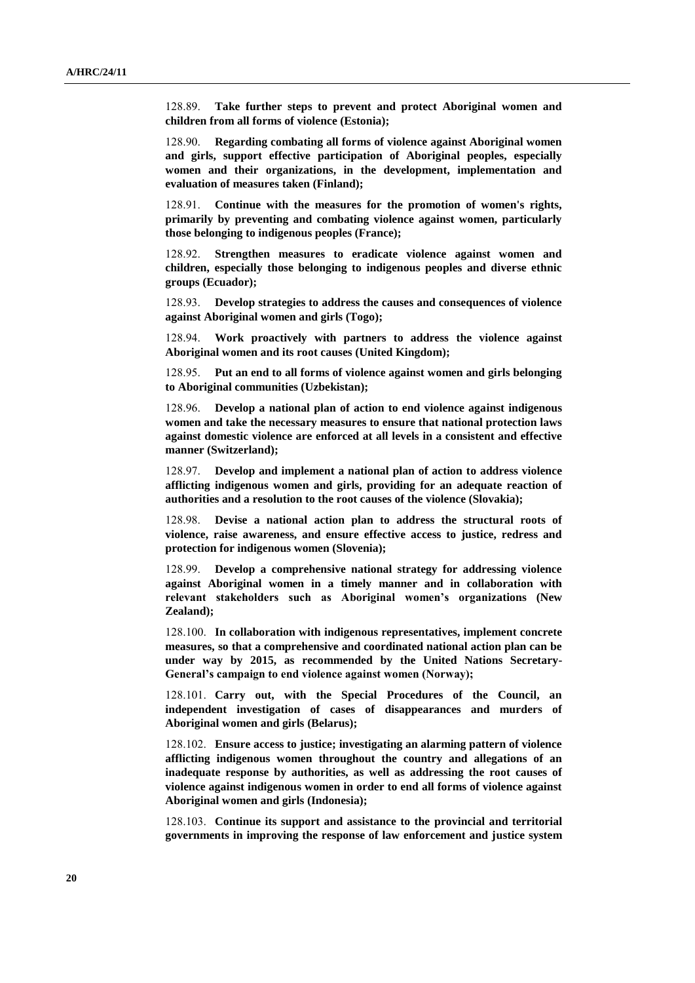128.89. **Take further steps to prevent and protect Aboriginal women and children from all forms of violence (Estonia);**

128.90. **Regarding combating all forms of violence against Aboriginal women and girls, support effective participation of Aboriginal peoples, especially women and their organizations, in the development, implementation and evaluation of measures taken (Finland);**

128.91. **Continue with the measures for the promotion of women's rights, primarily by preventing and combating violence against women, particularly those belonging to indigenous peoples (France);**

128.92. **Strengthen measures to eradicate violence against women and children, especially those belonging to indigenous peoples and diverse ethnic groups (Ecuador);**

128.93. **Develop strategies to address the causes and consequences of violence against Aboriginal women and girls (Togo);**

128.94. **Work proactively with partners to address the violence against Aboriginal women and its root causes (United Kingdom);**

128.95. **Put an end to all forms of violence against women and girls belonging to Aboriginal communities (Uzbekistan);**

128.96. **Develop a national plan of action to end violence against indigenous women and take the necessary measures to ensure that national protection laws against domestic violence are enforced at all levels in a consistent and effective manner (Switzerland);**

128.97. **Develop and implement a national plan of action to address violence afflicting indigenous women and girls, providing for an adequate reaction of authorities and a resolution to the root causes of the violence (Slovakia);**

128.98. **Devise a national action plan to address the structural roots of violence, raise awareness, and ensure effective access to justice, redress and protection for indigenous women (Slovenia);**

128.99. **Develop a comprehensive national strategy for addressing violence against Aboriginal women in a timely manner and in collaboration with relevant stakeholders such as Aboriginal women's organizations (New Zealand);**

128.100. **In collaboration with indigenous representatives, implement concrete measures, so that a comprehensive and coordinated national action plan can be under way by 2015, as recommended by the United Nations Secretary-General's campaign to end violence against women (Norway);**

128.101. **Carry out, with the Special Procedures of the Council, an independent investigation of cases of disappearances and murders of Aboriginal women and girls (Belarus);**

128.102. **Ensure access to justice; investigating an alarming pattern of violence afflicting indigenous women throughout the country and allegations of an inadequate response by authorities, as well as addressing the root causes of violence against indigenous women in order to end all forms of violence against Aboriginal women and girls (Indonesia);**

128.103. **Continue its support and assistance to the provincial and territorial governments in improving the response of law enforcement and justice system**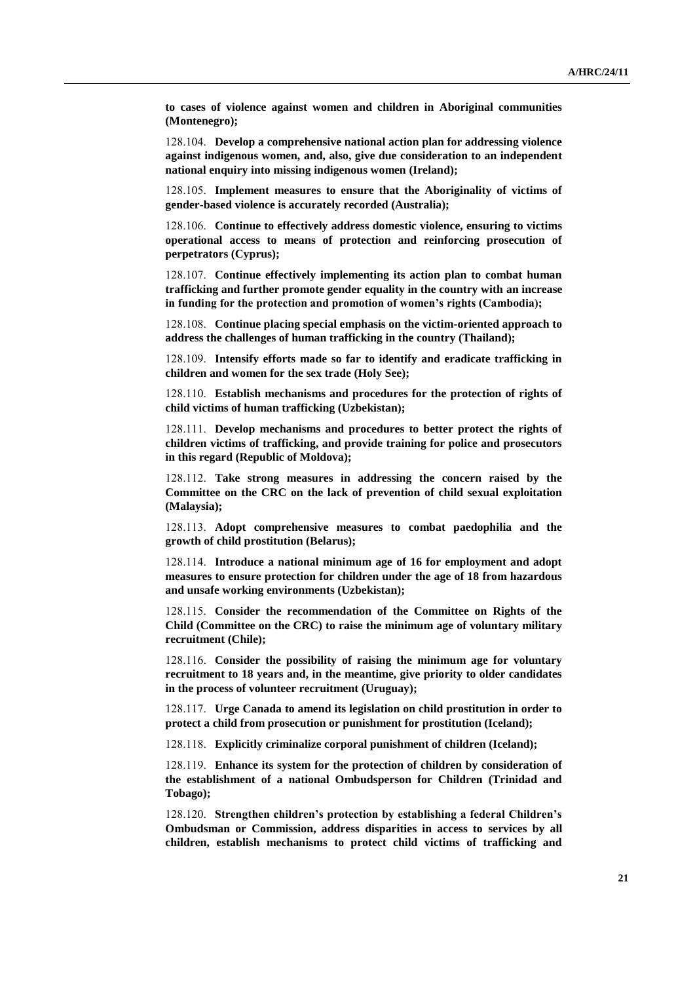**to cases of violence against women and children in Aboriginal communities (Montenegro);**

128.104. **Develop a comprehensive national action plan for addressing violence against indigenous women, and, also, give due consideration to an independent national enquiry into missing indigenous women (Ireland);**

128.105. **Implement measures to ensure that the Aboriginality of victims of gender-based violence is accurately recorded (Australia);**

128.106. **Continue to effectively address domestic violence, ensuring to victims operational access to means of protection and reinforcing prosecution of perpetrators (Cyprus);**

128.107. **Continue effectively implementing its action plan to combat human trafficking and further promote gender equality in the country with an increase in funding for the protection and promotion of women's rights (Cambodia);**

128.108. **Continue placing special emphasis on the victim-oriented approach to address the challenges of human trafficking in the country (Thailand);**

128.109. **Intensify efforts made so far to identify and eradicate trafficking in children and women for the sex trade (Holy See);**

128.110. **Establish mechanisms and procedures for the protection of rights of child victims of human trafficking (Uzbekistan);**

128.111. **Develop mechanisms and procedures to better protect the rights of children victims of trafficking, and provide training for police and prosecutors in this regard (Republic of Moldova);**

128.112. **Take strong measures in addressing the concern raised by the Committee on the CRC on the lack of prevention of child sexual exploitation (Malaysia);**

128.113. **Adopt comprehensive measures to combat paedophilia and the growth of child prostitution (Belarus);**

128.114. **Introduce a national minimum age of 16 for employment and adopt measures to ensure protection for children under the age of 18 from hazardous and unsafe working environments (Uzbekistan);**

128.115. **Consider the recommendation of the Committee on Rights of the Child (Committee on the CRC) to raise the minimum age of voluntary military recruitment (Chile);**

128.116. **Consider the possibility of raising the minimum age for voluntary recruitment to 18 years and, in the meantime, give priority to older candidates in the process of volunteer recruitment (Uruguay);**

128.117. **Urge Canada to amend its legislation on child prostitution in order to protect a child from prosecution or punishment for prostitution (Iceland);**

128.118. **Explicitly criminalize corporal punishment of children (Iceland);**

128.119. **Enhance its system for the protection of children by consideration of the establishment of a national Ombudsperson for Children (Trinidad and Tobago);**

128.120. **Strengthen children's protection by establishing a federal Children's Ombudsman or Commission, address disparities in access to services by all children, establish mechanisms to protect child victims of trafficking and**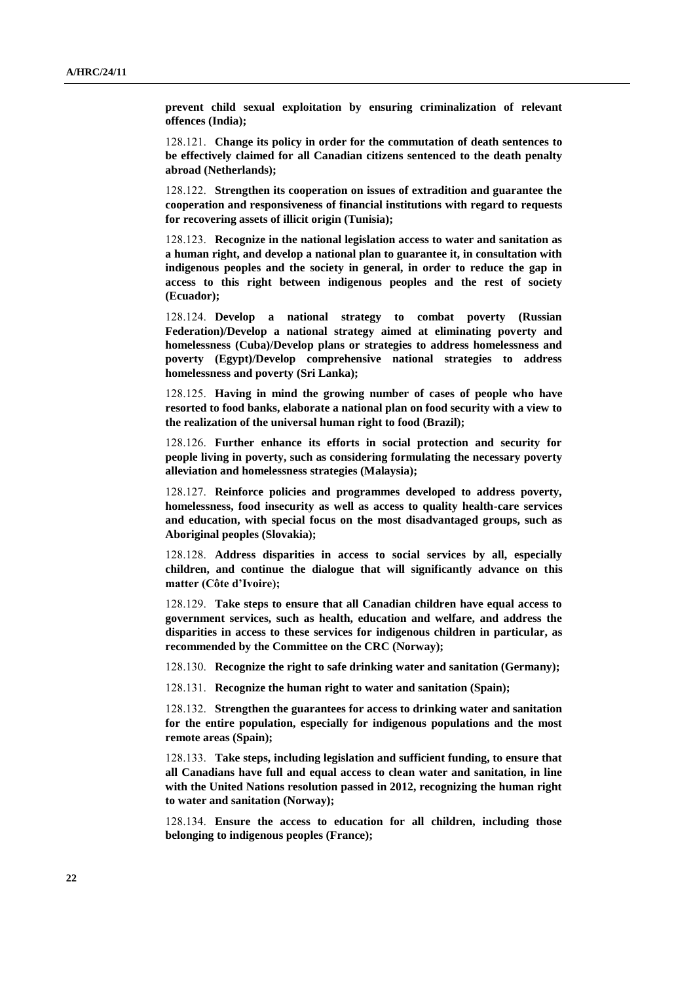**prevent child sexual exploitation by ensuring criminalization of relevant offences (India);**

128.121. **Change its policy in order for the commutation of death sentences to be effectively claimed for all Canadian citizens sentenced to the death penalty abroad (Netherlands);**

128.122. **Strengthen its cooperation on issues of extradition and guarantee the cooperation and responsiveness of financial institutions with regard to requests for recovering assets of illicit origin (Tunisia);**

128.123. **Recognize in the national legislation access to water and sanitation as a human right, and develop a national plan to guarantee it, in consultation with indigenous peoples and the society in general, in order to reduce the gap in access to this right between indigenous peoples and the rest of society (Ecuador);**

128.124. **Develop a national strategy to combat poverty (Russian Federation)/Develop a national strategy aimed at eliminating poverty and homelessness (Cuba)/Develop plans or strategies to address homelessness and poverty (Egypt)/Develop comprehensive national strategies to address homelessness and poverty (Sri Lanka);**

128.125. **Having in mind the growing number of cases of people who have resorted to food banks, elaborate a national plan on food security with a view to the realization of the universal human right to food (Brazil);**

128.126. **Further enhance its efforts in social protection and security for people living in poverty, such as considering formulating the necessary poverty alleviation and homelessness strategies (Malaysia);**

128.127. **Reinforce policies and programmes developed to address poverty, homelessness, food insecurity as well as access to quality health-care services and education, with special focus on the most disadvantaged groups, such as Aboriginal peoples (Slovakia);**

128.128. **Address disparities in access to social services by all, especially children, and continue the dialogue that will significantly advance on this matter (Côte d'Ivoire);**

128.129. **Take steps to ensure that all Canadian children have equal access to government services, such as health, education and welfare, and address the disparities in access to these services for indigenous children in particular, as recommended by the Committee on the CRC (Norway);**

128.130. **Recognize the right to safe drinking water and sanitation (Germany);**

128.131. **Recognize the human right to water and sanitation (Spain);**

128.132. **Strengthen the guarantees for access to drinking water and sanitation for the entire population, especially for indigenous populations and the most remote areas (Spain);**

128.133. **Take steps, including legislation and sufficient funding, to ensure that all Canadians have full and equal access to clean water and sanitation, in line with the United Nations resolution passed in 2012, recognizing the human right to water and sanitation (Norway);**

128.134. **Ensure the access to education for all children, including those belonging to indigenous peoples (France);**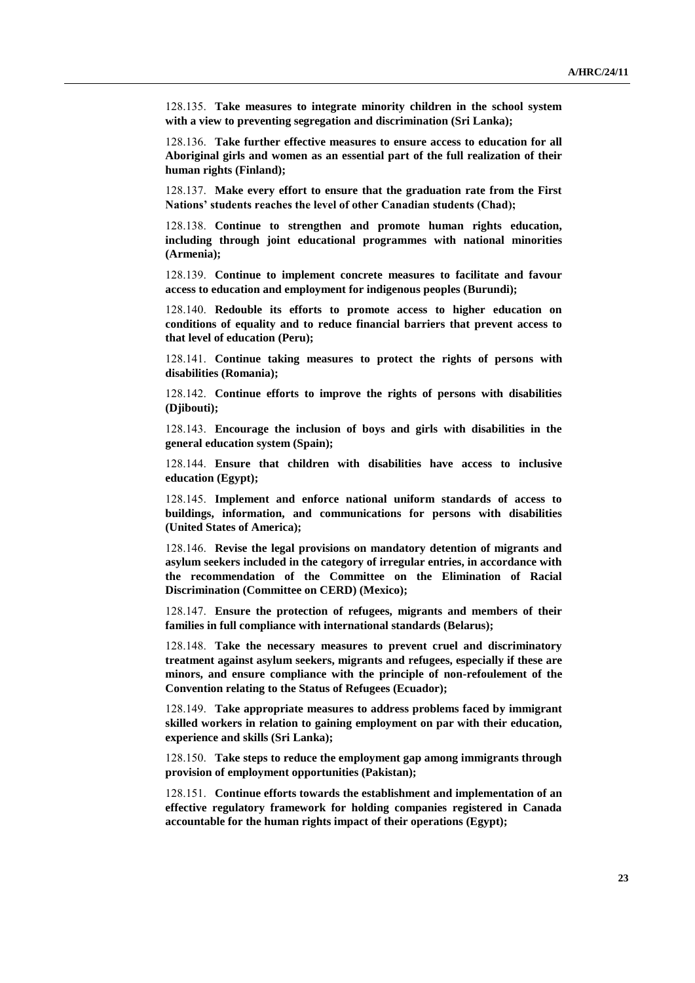128.135. **Take measures to integrate minority children in the school system with a view to preventing segregation and discrimination (Sri Lanka);**

128.136. **Take further effective measures to ensure access to education for all Aboriginal girls and women as an essential part of the full realization of their human rights (Finland);**

128.137. **Make every effort to ensure that the graduation rate from the First Nations' students reaches the level of other Canadian students (Chad);**

128.138. **Continue to strengthen and promote human rights education, including through joint educational programmes with national minorities (Armenia);**

128.139. **Continue to implement concrete measures to facilitate and favour access to education and employment for indigenous peoples (Burundi);**

128.140. **Redouble its efforts to promote access to higher education on conditions of equality and to reduce financial barriers that prevent access to that level of education (Peru);**

128.141. **Continue taking measures to protect the rights of persons with disabilities (Romania);**

128.142. **Continue efforts to improve the rights of persons with disabilities (Djibouti);**

128.143. **Encourage the inclusion of boys and girls with disabilities in the general education system (Spain);**

128.144. **Ensure that children with disabilities have access to inclusive education (Egypt);**

128.145. **Implement and enforce national uniform standards of access to buildings, information, and communications for persons with disabilities (United States of America);**

128.146. **Revise the legal provisions on mandatory detention of migrants and asylum seekers included in the category of irregular entries, in accordance with the recommendation of the Committee on the Elimination of Racial Discrimination (Committee on CERD) (Mexico);**

128.147. **Ensure the protection of refugees, migrants and members of their families in full compliance with international standards (Belarus);**

128.148. **Take the necessary measures to prevent cruel and discriminatory treatment against asylum seekers, migrants and refugees, especially if these are minors, and ensure compliance with the principle of non-refoulement of the Convention relating to the Status of Refugees (Ecuador);**

128.149. **Take appropriate measures to address problems faced by immigrant skilled workers in relation to gaining employment on par with their education, experience and skills (Sri Lanka);**

128.150. **Take steps to reduce the employment gap among immigrants through provision of employment opportunities (Pakistan);**

128.151. **Continue efforts towards the establishment and implementation of an effective regulatory framework for holding companies registered in Canada accountable for the human rights impact of their operations (Egypt);**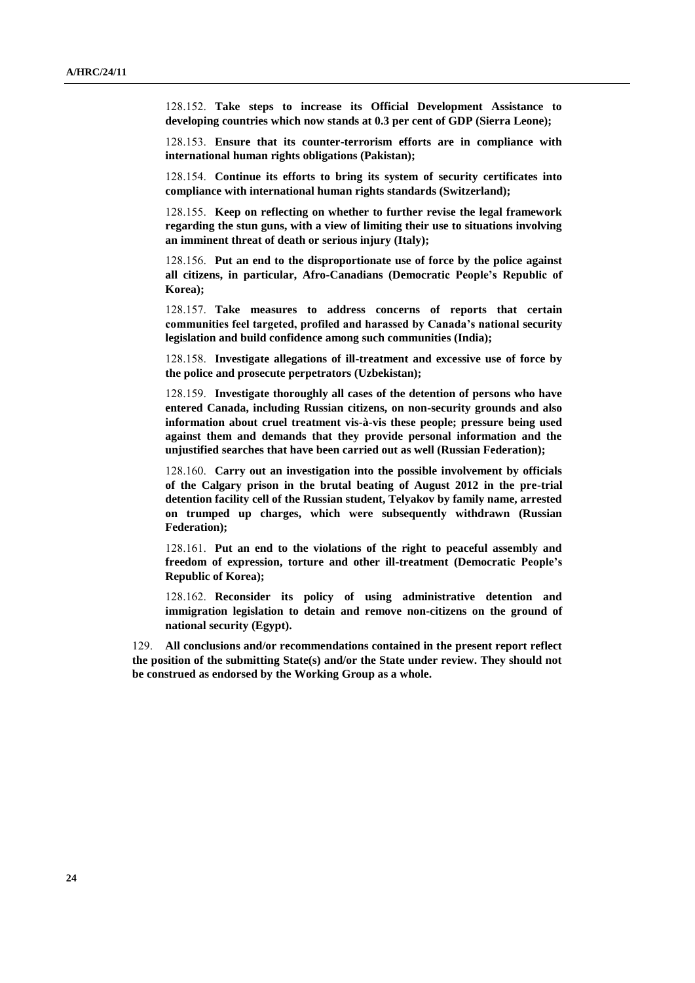128.152. **Take steps to increase its Official Development Assistance to developing countries which now stands at 0.3 per cent of GDP (Sierra Leone);**

128.153. **Ensure that its counter-terrorism efforts are in compliance with international human rights obligations (Pakistan);**

128.154. **Continue its efforts to bring its system of security certificates into compliance with international human rights standards (Switzerland);**

128.155. **Keep on reflecting on whether to further revise the legal framework regarding the stun guns, with a view of limiting their use to situations involving an imminent threat of death or serious injury (Italy);**

128.156. **Put an end to the disproportionate use of force by the police against all citizens, in particular, Afro-Canadians (Democratic People's Republic of Korea);**

128.157. **Take measures to address concerns of reports that certain communities feel targeted, profiled and harassed by Canada's national security legislation and build confidence among such communities (India);**

128.158. **Investigate allegations of ill-treatment and excessive use of force by the police and prosecute perpetrators (Uzbekistan);**

128.159. **Investigate thoroughly all cases of the detention of persons who have entered Canada, including Russian citizens, on non-security grounds and also information about cruel treatment vis-à-vis these people; pressure being used against them and demands that they provide personal information and the unjustified searches that have been carried out as well (Russian Federation);**

128.160. **Carry out an investigation into the possible involvement by officials of the Calgary prison in the brutal beating of August 2012 in the pre-trial detention facility cell of the Russian student, Telyakov by family name, arrested on trumped up charges, which were subsequently withdrawn (Russian Federation);**

128.161. **Put an end to the violations of the right to peaceful assembly and freedom of expression, torture and other ill-treatment (Democratic People's Republic of Korea);**

128.162. **Reconsider its policy of using administrative detention and immigration legislation to detain and remove non-citizens on the ground of national security (Egypt).**

129. **All conclusions and/or recommendations contained in the present report reflect the position of the submitting State(s) and/or the State under review. They should not be construed as endorsed by the Working Group as a whole.**